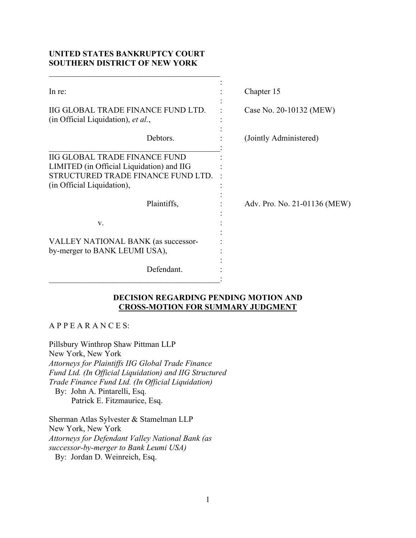# **UNITED STATES BANKRUPTCY COURT SOUTHERN DISTRICT OF NEW YORK**

| In re:                                                                   | Chapter 15                   |
|--------------------------------------------------------------------------|------------------------------|
| IIG GLOBAL TRADE FINANCE FUND LTD.<br>(in Official Liquidation), et al., | Case No. 20-10132 (MEW)      |
| Debtors.                                                                 | (Jointly Administered)       |
| <b>IIG GLOBAL TRADE FINANCE FUND</b>                                     |                              |
| LIMITED (in Official Liquidation) and IIG                                |                              |
| STRUCTURED TRADE FINANCE FUND LTD.                                       |                              |
| (in Official Liquidation),                                               |                              |
| Plaintiffs,                                                              | Adv. Pro. No. 21-01136 (MEW) |
| V.                                                                       |                              |
| VALLEY NATIONAL BANK (as successor-<br>by-merger to BANK LEUMI USA),     |                              |
| Defendant.                                                               |                              |

# **DECISION REGARDING PENDING MOTION AND CROSS-MOTION FOR SUMMARY JUDGMENT**

## A P P E A R A N C E S:

Pillsbury Winthrop Shaw Pittman LLP New York, New York *Attorneys for Plaintiffs IIG Global Trade Finance Fund Ltd. (In Official Liquidation) and IIG Structured Trade Finance Fund Ltd. (In Official Liquidation)*  By: John A. Pintarelli, Esq. Patrick E. Fitzmaurice, Esq.

Sherman Atlas Sylvester & Stamelman LLP New York, New York *Attorneys for Defendant Valley National Bank (as successor-by-merger to Bank Leumi USA)*  By: Jordan D. Weinreich, Esq.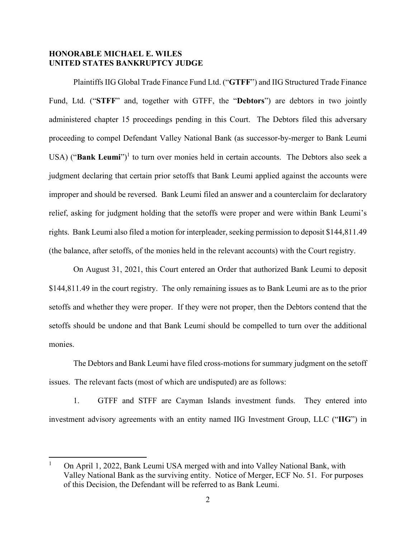## **HONORABLE MICHAEL E. WILES UNITED STATES BANKRUPTCY JUDGE**

Plaintiffs IIG Global Trade Finance Fund Ltd. ("**GTFF**") and IIG Structured Trade Finance Fund, Ltd. ("**STFF**" and, together with GTFF, the "**Debtors**") are debtors in two jointly administered chapter 15 proceedings pending in this Court. The Debtors filed this adversary proceeding to compel Defendant Valley National Bank (as successor-by-merger to Bank Leumi USA) ("**Bank Leumi**")<sup>1</sup> to turn over monies held in certain accounts. The Debtors also seek a judgment declaring that certain prior setoffs that Bank Leumi applied against the accounts were improper and should be reversed. Bank Leumi filed an answer and a counterclaim for declaratory relief, asking for judgment holding that the setoffs were proper and were within Bank Leumi's rights. Bank Leumi also filed a motion for interpleader, seeking permission to deposit \$144,811.49 (the balance, after setoffs, of the monies held in the relevant accounts) with the Court registry.

On August 31, 2021, this Court entered an Order that authorized Bank Leumi to deposit \$144,811.49 in the court registry. The only remaining issues as to Bank Leumi are as to the prior setoffs and whether they were proper. If they were not proper, then the Debtors contend that the setoffs should be undone and that Bank Leumi should be compelled to turn over the additional monies.

The Debtors and Bank Leumi have filed cross-motions for summary judgment on the setoff issues. The relevant facts (most of which are undisputed) are as follows:

1. GTFF and STFF are Cayman Islands investment funds. They entered into investment advisory agreements with an entity named IIG Investment Group, LLC ("**IIG**") in

<sup>1</sup> On April 1, 2022, Bank Leumi USA merged with and into Valley National Bank, with Valley National Bank as the surviving entity. Notice of Merger, ECF No. 51. For purposes of this Decision, the Defendant will be referred to as Bank Leumi.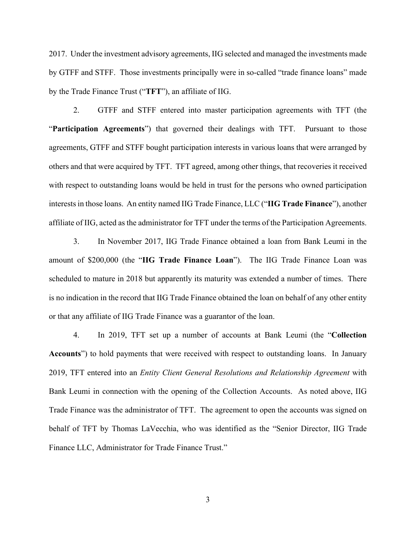2017. Under the investment advisory agreements, IIG selected and managed the investments made by GTFF and STFF. Those investments principally were in so-called "trade finance loans" made by the Trade Finance Trust ("**TFT**"), an affiliate of IIG.

2. GTFF and STFF entered into master participation agreements with TFT (the "**Participation Agreements**") that governed their dealings with TFT. Pursuant to those agreements, GTFF and STFF bought participation interests in various loans that were arranged by others and that were acquired by TFT. TFT agreed, among other things, that recoveries it received with respect to outstanding loans would be held in trust for the persons who owned participation interests in those loans. An entity named IIG Trade Finance, LLC ("**IIG Trade Finance**"), another affiliate of IIG, acted as the administrator for TFT under the terms of the Participation Agreements.

3. In November 2017, IIG Trade Finance obtained a loan from Bank Leumi in the amount of \$200,000 (the "**IIG Trade Finance Loan**"). The IIG Trade Finance Loan was scheduled to mature in 2018 but apparently its maturity was extended a number of times. There is no indication in the record that IIG Trade Finance obtained the loan on behalf of any other entity or that any affiliate of IIG Trade Finance was a guarantor of the loan.

4. In 2019, TFT set up a number of accounts at Bank Leumi (the "**Collection Accounts**") to hold payments that were received with respect to outstanding loans. In January 2019, TFT entered into an *Entity Client General Resolutions and Relationship Agreement* with Bank Leumi in connection with the opening of the Collection Accounts. As noted above, IIG Trade Finance was the administrator of TFT. The agreement to open the accounts was signed on behalf of TFT by Thomas LaVecchia, who was identified as the "Senior Director, IIG Trade Finance LLC, Administrator for Trade Finance Trust."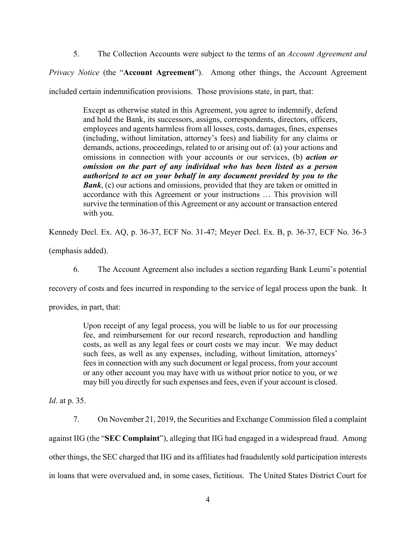5. The Collection Accounts were subject to the terms of an *Account Agreement and* 

*Privacy Notice* (the "**Account Agreement**"). Among other things, the Account Agreement

included certain indemnification provisions. Those provisions state, in part, that:

Except as otherwise stated in this Agreement, you agree to indemnify, defend and hold the Bank, its successors, assigns, correspondents, directors, officers, employees and agents harmless from all losses, costs, damages, fines, expenses (including, without limitation, attorney's fees) and liability for any claims or demands, actions, proceedings, related to or arising out of: (a) your actions and omissions in connection with your accounts or our services, (b) *action or omission on the part of any individual who has been listed as a person authorized to act on your behalf in any document provided by you to the Bank*, (c) our actions and omissions, provided that they are taken or omitted in accordance with this Agreement or your instructions … This provision will survive the termination of this Agreement or any account or transaction entered with you.

Kennedy Decl. Ex. AQ, p. 36-37, ECF No. 31-47; Meyer Decl. Ex. B, p. 36-37, ECF No. 36-3

(emphasis added).

6. The Account Agreement also includes a section regarding Bank Leumi's potential

recovery of costs and fees incurred in responding to the service of legal process upon the bank. It

provides, in part, that:

Upon receipt of any legal process, you will be liable to us for our processing fee, and reimbursement for our record research, reproduction and handling costs, as well as any legal fees or court costs we may incur. We may deduct such fees, as well as any expenses, including, without limitation, attorneys' fees in connection with any such document or legal process, from your account or any other account you may have with us without prior notice to you, or we may bill you directly for such expenses and fees, even if your account is closed.

*Id*. at p. 35.

7. On November 21, 2019, the Securities and Exchange Commission filed a complaint against IIG (the "**SEC Complaint**"), alleging that IIG had engaged in a widespread fraud. Among other things, the SEC charged that IIG and its affiliates had fraudulently sold participation interests in loans that were overvalued and, in some cases, fictitious. The United States District Court for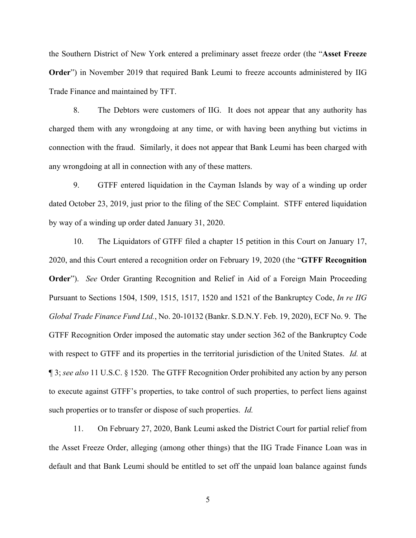the Southern District of New York entered a preliminary asset freeze order (the "**Asset Freeze Order**") in November 2019 that required Bank Leumi to freeze accounts administered by IIG Trade Finance and maintained by TFT.

8. The Debtors were customers of IIG. It does not appear that any authority has charged them with any wrongdoing at any time, or with having been anything but victims in connection with the fraud. Similarly, it does not appear that Bank Leumi has been charged with any wrongdoing at all in connection with any of these matters.

9. GTFF entered liquidation in the Cayman Islands by way of a winding up order dated October 23, 2019, just prior to the filing of the SEC Complaint. STFF entered liquidation by way of a winding up order dated January 31, 2020.

10. The Liquidators of GTFF filed a chapter 15 petition in this Court on January 17, 2020, and this Court entered a recognition order on February 19, 2020 (the "**GTFF Recognition Order**"). *See* Order Granting Recognition and Relief in Aid of a Foreign Main Proceeding Pursuant to Sections 1504, 1509, 1515, 1517, 1520 and 1521 of the Bankruptcy Code, *In re IIG Global Trade Finance Fund Ltd.*, No. 20-10132 (Bankr. S.D.N.Y. Feb. 19, 2020), ECF No. 9. The GTFF Recognition Order imposed the automatic stay under section 362 of the Bankruptcy Code with respect to GTFF and its properties in the territorial jurisdiction of the United States. *Id.* at ¶ 3; *see also* 11 U.S.C. § 1520. The GTFF Recognition Order prohibited any action by any person to execute against GTFF's properties, to take control of such properties, to perfect liens against such properties or to transfer or dispose of such properties. *Id.*

11. On February 27, 2020, Bank Leumi asked the District Court for partial relief from the Asset Freeze Order, alleging (among other things) that the IIG Trade Finance Loan was in default and that Bank Leumi should be entitled to set off the unpaid loan balance against funds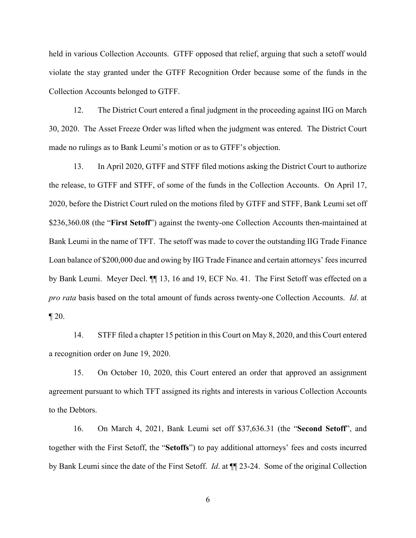held in various Collection Accounts. GTFF opposed that relief, arguing that such a setoff would violate the stay granted under the GTFF Recognition Order because some of the funds in the Collection Accounts belonged to GTFF.

12. The District Court entered a final judgment in the proceeding against IIG on March 30, 2020. The Asset Freeze Order was lifted when the judgment was entered. The District Court made no rulings as to Bank Leumi's motion or as to GTFF's objection.

13. In April 2020, GTFF and STFF filed motions asking the District Court to authorize the release, to GTFF and STFF, of some of the funds in the Collection Accounts. On April 17, 2020, before the District Court ruled on the motions filed by GTFF and STFF, Bank Leumi set off \$236,360.08 (the "**First Setoff**") against the twenty-one Collection Accounts then-maintained at Bank Leumi in the name of TFT. The setoff was made to cover the outstanding IIG Trade Finance Loan balance of \$200,000 due and owing by IIG Trade Finance and certain attorneys' fees incurred by Bank Leumi. Meyer Decl. ¶¶ 13, 16 and 19, ECF No. 41. The First Setoff was effected on a *pro rata* basis based on the total amount of funds across twenty-one Collection Accounts. *Id*. at  $\P 20.$ 

14. STFF filed a chapter 15 petition in this Court on May 8, 2020, and this Court entered a recognition order on June 19, 2020.

15. On October 10, 2020, this Court entered an order that approved an assignment agreement pursuant to which TFT assigned its rights and interests in various Collection Accounts to the Debtors.

16. On March 4, 2021, Bank Leumi set off \$37,636.31 (the "**Second Setoff**", and together with the First Setoff, the "**Setoffs**") to pay additional attorneys' fees and costs incurred by Bank Leumi since the date of the First Setoff. *Id*. at ¶¶ 23-24. Some of the original Collection

6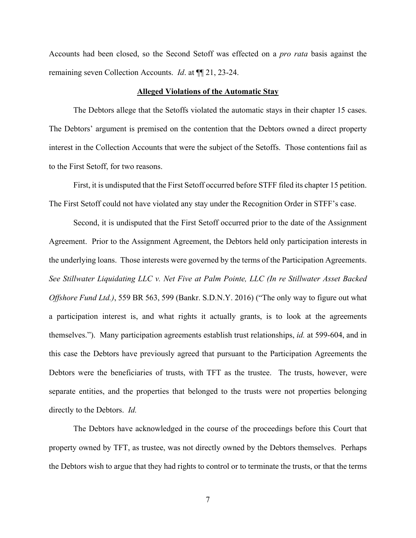Accounts had been closed, so the Second Setoff was effected on a *pro rata* basis against the remaining seven Collection Accounts. *Id*. at ¶¶ 21, 23-24.

### **Alleged Violations of the Automatic Stay**

The Debtors allege that the Setoffs violated the automatic stays in their chapter 15 cases. The Debtors' argument is premised on the contention that the Debtors owned a direct property interest in the Collection Accounts that were the subject of the Setoffs. Those contentions fail as to the First Setoff, for two reasons.

First, it is undisputed that the First Setoff occurred before STFF filed its chapter 15 petition. The First Setoff could not have violated any stay under the Recognition Order in STFF's case.

Second, it is undisputed that the First Setoff occurred prior to the date of the Assignment Agreement. Prior to the Assignment Agreement, the Debtors held only participation interests in the underlying loans. Those interests were governed by the terms of the Participation Agreements. *See Stillwater Liquidating LLC v. Net Five at Palm Pointe, LLC (In re Stillwater Asset Backed Offshore Fund Ltd.)*, 559 BR 563, 599 (Bankr. S.D.N.Y. 2016) ("The only way to figure out what a participation interest is, and what rights it actually grants, is to look at the agreements themselves."). Many participation agreements establish trust relationships, *id.* at 599-604, and in this case the Debtors have previously agreed that pursuant to the Participation Agreements the Debtors were the beneficiaries of trusts, with TFT as the trustee. The trusts, however, were separate entities, and the properties that belonged to the trusts were not properties belonging directly to the Debtors. *Id.*

The Debtors have acknowledged in the course of the proceedings before this Court that property owned by TFT, as trustee, was not directly owned by the Debtors themselves. Perhaps the Debtors wish to argue that they had rights to control or to terminate the trusts, or that the terms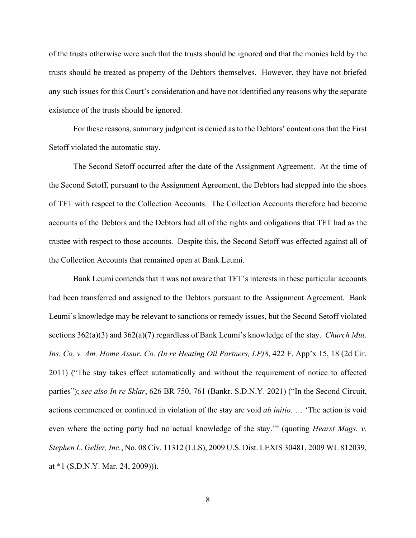of the trusts otherwise were such that the trusts should be ignored and that the monies held by the trusts should be treated as property of the Debtors themselves. However, they have not briefed any such issues for this Court's consideration and have not identified any reasons why the separate existence of the trusts should be ignored.

For these reasons, summary judgment is denied as to the Debtors' contentions that the First Setoff violated the automatic stay.

The Second Setoff occurred after the date of the Assignment Agreement. At the time of the Second Setoff, pursuant to the Assignment Agreement, the Debtors had stepped into the shoes of TFT with respect to the Collection Accounts. The Collection Accounts therefore had become accounts of the Debtors and the Debtors had all of the rights and obligations that TFT had as the trustee with respect to those accounts. Despite this, the Second Setoff was effected against all of the Collection Accounts that remained open at Bank Leumi.

Bank Leumi contends that it was not aware that TFT's interests in these particular accounts had been transferred and assigned to the Debtors pursuant to the Assignment Agreement. Bank Leumi's knowledge may be relevant to sanctions or remedy issues, but the Second Setoff violated sections 362(a)(3) and 362(a)(7) regardless of Bank Leumi's knowledge of the stay. *Church Mut. Ins. Co. v. Am. Home Assur. Co. (In re Heating Oil Partners, LP)8*, 422 F. App'x 15, 18 (2d Cir. 2011) ("The stay takes effect automatically and without the requirement of notice to affected parties"); *see also In re Sklar*, 626 BR 750, 761 (Bankr. S.D.N.Y. 2021) ("In the Second Circuit, actions commenced or continued in violation of the stay are void *ab initio*. … 'The action is void even where the acting party had no actual knowledge of the stay.'" (quoting *Hearst Mags. v. Stephen L. Geller, Inc.*, No. 08 Civ. 11312 (LLS), 2009 U.S. Dist. LEXIS 30481, 2009 WL 812039, at \*1 (S.D.N.Y. Mar. 24, 2009))).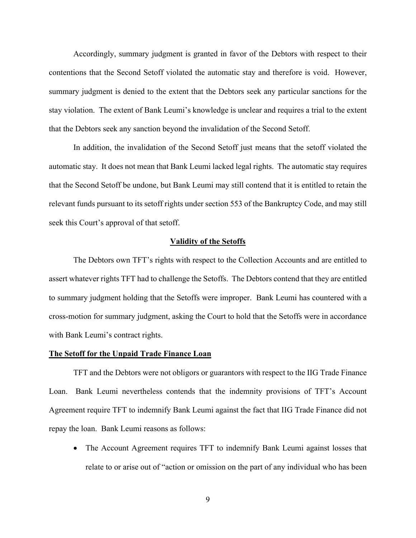Accordingly, summary judgment is granted in favor of the Debtors with respect to their contentions that the Second Setoff violated the automatic stay and therefore is void. However, summary judgment is denied to the extent that the Debtors seek any particular sanctions for the stay violation. The extent of Bank Leumi's knowledge is unclear and requires a trial to the extent that the Debtors seek any sanction beyond the invalidation of the Second Setoff.

In addition, the invalidation of the Second Setoff just means that the setoff violated the automatic stay. It does not mean that Bank Leumi lacked legal rights. The automatic stay requires that the Second Setoff be undone, but Bank Leumi may still contend that it is entitled to retain the relevant funds pursuant to its setoff rights under section 553 of the Bankruptcy Code, and may still seek this Court's approval of that setoff.

## **Validity of the Setoffs**

The Debtors own TFT's rights with respect to the Collection Accounts and are entitled to assert whatever rights TFT had to challenge the Setoffs. The Debtors contend that they are entitled to summary judgment holding that the Setoffs were improper. Bank Leumi has countered with a cross-motion for summary judgment, asking the Court to hold that the Setoffs were in accordance with Bank Leumi's contract rights.

### **The Setoff for the Unpaid Trade Finance Loan**

TFT and the Debtors were not obligors or guarantors with respect to the IIG Trade Finance Loan. Bank Leumi nevertheless contends that the indemnity provisions of TFT's Account Agreement require TFT to indemnify Bank Leumi against the fact that IIG Trade Finance did not repay the loan. Bank Leumi reasons as follows:

• The Account Agreement requires TFT to indemnify Bank Leumi against losses that relate to or arise out of "action or omission on the part of any individual who has been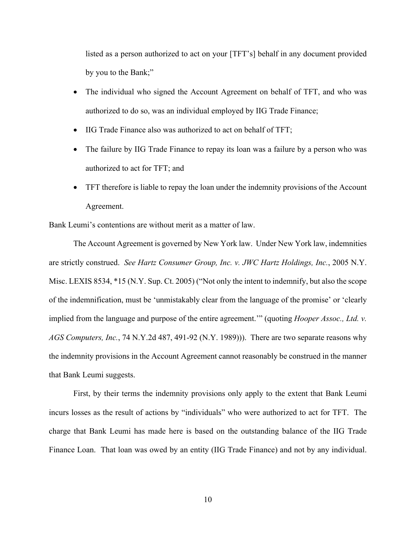listed as a person authorized to act on your [TFT's] behalf in any document provided by you to the Bank;"

- The individual who signed the Account Agreement on behalf of TFT, and who was authorized to do so, was an individual employed by IIG Trade Finance;
- IIG Trade Finance also was authorized to act on behalf of TFT;
- The failure by IIG Trade Finance to repay its loan was a failure by a person who was authorized to act for TFT; and
- TFT therefore is liable to repay the loan under the indemnity provisions of the Account Agreement.

Bank Leumi's contentions are without merit as a matter of law.

The Account Agreement is governed by New York law. Under New York law, indemnities are strictly construed.*See Hartz Consumer Group, Inc. v. JWC Hartz Holdings, Inc.*, 2005 N.Y. Misc. LEXIS 8534, \*15 (N.Y. Sup. Ct. 2005) ("Not only the intent to indemnify, but also the scope of the indemnification, must be 'unmistakably clear from the language of the promise' or 'clearly implied from the language and purpose of the entire agreement.'" (quoting *Hooper Assoc., Ltd. v. AGS Computers, Inc.*, 74 N.Y.2d 487, 491-92 (N.Y. 1989))). There are two separate reasons why the indemnity provisions in the Account Agreement cannot reasonably be construed in the manner that Bank Leumi suggests.

First, by their terms the indemnity provisions only apply to the extent that Bank Leumi incurs losses as the result of actions by "individuals" who were authorized to act for TFT. The charge that Bank Leumi has made here is based on the outstanding balance of the IIG Trade Finance Loan. That loan was owed by an entity (IIG Trade Finance) and not by any individual.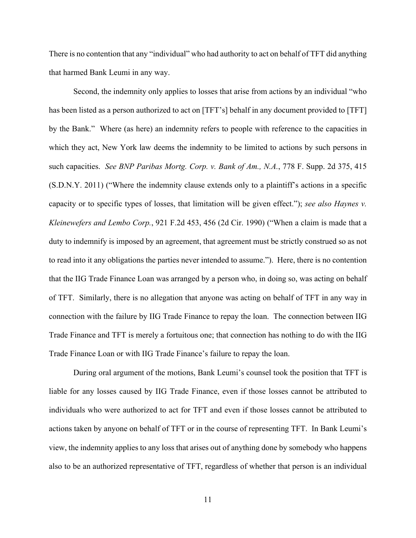There is no contention that any "individual" who had authority to act on behalf of TFT did anything that harmed Bank Leumi in any way.

Second, the indemnity only applies to losses that arise from actions by an individual "who has been listed as a person authorized to act on [TFT's] behalf in any document provided to [TFT] by the Bank."Where (as here) an indemnity refers to people with reference to the capacities in which they act, New York law deems the indemnity to be limited to actions by such persons in such capacities. *See BNP Paribas Mortg. Corp. v. Bank of Am., N.A.*, 778 F. Supp. 2d 375, 415 (S.D.N.Y. 2011) ("Where the indemnity clause extends only to a plaintiff's actions in a specific capacity or to specific types of losses, that limitation will be given effect."); *see also Haynes v. Kleinewefers and Lembo Corp.*, 921 F.2d 453, 456 (2d Cir. 1990) ("When a claim is made that a duty to indemnify is imposed by an agreement, that agreement must be strictly construed so as not to read into it any obligations the parties never intended to assume."). Here, there is no contention that the IIG Trade Finance Loan was arranged by a person who, in doing so, was acting on behalf of TFT. Similarly, there is no allegation that anyone was acting on behalf of TFT in any way in connection with the failure by IIG Trade Finance to repay the loan. The connection between IIG Trade Finance and TFT is merely a fortuitous one; that connection has nothing to do with the IIG Trade Finance Loan or with IIG Trade Finance's failure to repay the loan.

During oral argument of the motions, Bank Leumi's counsel took the position that TFT is liable for any losses caused by IIG Trade Finance, even if those losses cannot be attributed to individuals who were authorized to act for TFT and even if those losses cannot be attributed to actions taken by anyone on behalf of TFT or in the course of representing TFT. In Bank Leumi's view, the indemnity applies to any loss that arises out of anything done by somebody who happens also to be an authorized representative of TFT, regardless of whether that person is an individual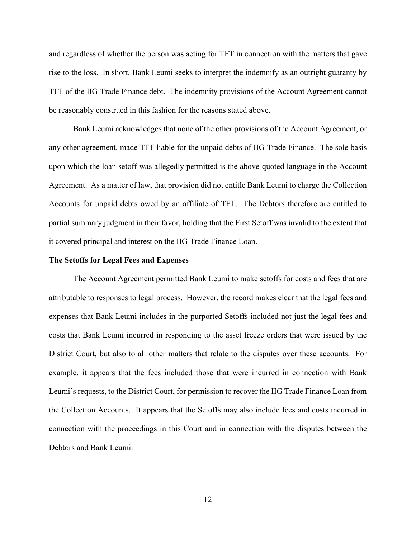and regardless of whether the person was acting for TFT in connection with the matters that gave rise to the loss. In short, Bank Leumi seeks to interpret the indemnify as an outright guaranty by TFT of the IIG Trade Finance debt. The indemnity provisions of the Account Agreement cannot be reasonably construed in this fashion for the reasons stated above.

Bank Leumi acknowledges that none of the other provisions of the Account Agreement, or any other agreement, made TFT liable for the unpaid debts of IIG Trade Finance. The sole basis upon which the loan setoff was allegedly permitted is the above-quoted language in the Account Agreement. As a matter of law, that provision did not entitle Bank Leumi to charge the Collection Accounts for unpaid debts owed by an affiliate of TFT. The Debtors therefore are entitled to partial summary judgment in their favor, holding that the First Setoff was invalid to the extent that it covered principal and interest on the IIG Trade Finance Loan.

#### **The Setoffs for Legal Fees and Expenses**

 The Account Agreement permitted Bank Leumi to make setoffs for costs and fees that are attributable to responses to legal process. However, the record makes clear that the legal fees and expenses that Bank Leumi includes in the purported Setoffs included not just the legal fees and costs that Bank Leumi incurred in responding to the asset freeze orders that were issued by the District Court, but also to all other matters that relate to the disputes over these accounts. For example, it appears that the fees included those that were incurred in connection with Bank Leumi's requests, to the District Court, for permission to recover the IIG Trade Finance Loan from the Collection Accounts. It appears that the Setoffs may also include fees and costs incurred in connection with the proceedings in this Court and in connection with the disputes between the Debtors and Bank Leumi.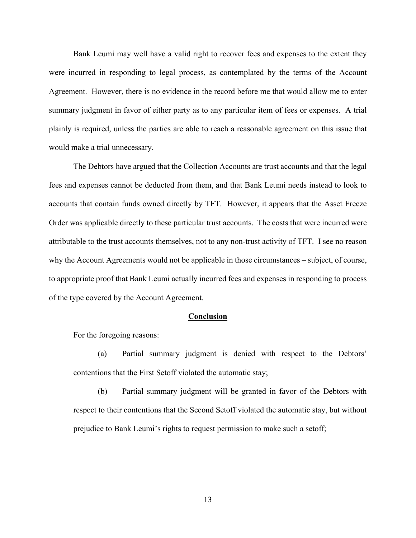Bank Leumi may well have a valid right to recover fees and expenses to the extent they were incurred in responding to legal process, as contemplated by the terms of the Account Agreement. However, there is no evidence in the record before me that would allow me to enter summary judgment in favor of either party as to any particular item of fees or expenses. A trial plainly is required, unless the parties are able to reach a reasonable agreement on this issue that would make a trial unnecessary.

The Debtors have argued that the Collection Accounts are trust accounts and that the legal fees and expenses cannot be deducted from them, and that Bank Leumi needs instead to look to accounts that contain funds owned directly by TFT. However, it appears that the Asset Freeze Order was applicable directly to these particular trust accounts. The costs that were incurred were attributable to the trust accounts themselves, not to any non-trust activity of TFT. I see no reason why the Account Agreements would not be applicable in those circumstances – subject, of course, to appropriate proof that Bank Leumi actually incurred fees and expenses in responding to process of the type covered by the Account Agreement.

#### **Conclusion**

For the foregoing reasons:

(a) Partial summary judgment is denied with respect to the Debtors' contentions that the First Setoff violated the automatic stay;

(b) Partial summary judgment will be granted in favor of the Debtors with respect to their contentions that the Second Setoff violated the automatic stay, but without prejudice to Bank Leumi's rights to request permission to make such a setoff;